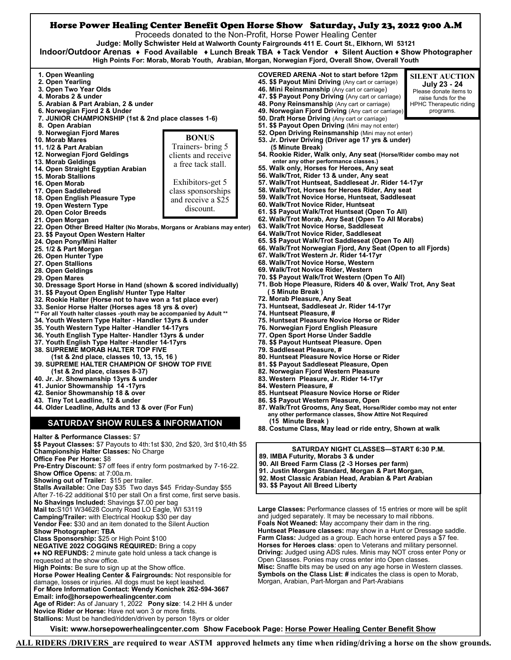

**ALL RIDERS /DRIVERS are required to wear ASTM approved helmets any time when riding/driving a horse on the show grounds.**

**Visit: [www.horsepowerhealingcenter.com](http://www.horsepowerhealingcenter.com) Show Facebook Page: [Horse Power Healing Center Benefit Show](https://www.facebook.com/groups/528154460591604/)** 

damage, losses or injuries. All dogs must be kept leashed. **For More Information Contact: Wendy Konichek 262-594-3667**

**Novice Rider or Horse:** Have not won 3 or more firsts.

**Age of Rider:** As of January 1, 2022 **Pony size**: 14.2 HH & under

**Stallions:** Must be handled/ridden/driven by person 18yrs or older

**Email: info@horsepowerhealingcenter.com**